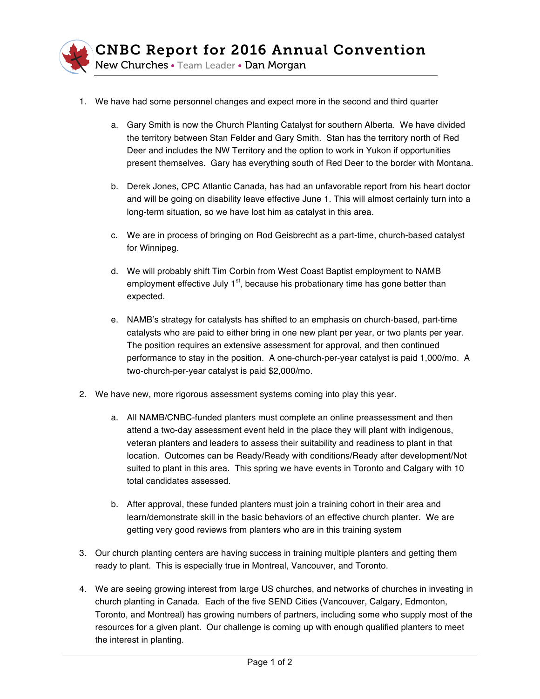

- 1. We have had some personnel changes and expect more in the second and third quarter
	- a. Gary Smith is now the Church Planting Catalyst for southern Alberta. We have divided the territory between Stan Felder and Gary Smith. Stan has the territory north of Red Deer and includes the NW Territory and the option to work in Yukon if opportunities present themselves. Gary has everything south of Red Deer to the border with Montana.
	- b. Derek Jones, CPC Atlantic Canada, has had an unfavorable report from his heart doctor and will be going on disability leave effective June 1. This will almost certainly turn into a long-term situation, so we have lost him as catalyst in this area.
	- c. We are in process of bringing on Rod Geisbrecht as a part-time, church-based catalyst for Winnipeg.
	- d. We will probably shift Tim Corbin from West Coast Baptist employment to NAMB employment effective July  $1<sup>st</sup>$ , because his probationary time has gone better than expected.
	- e. NAMB's strategy for catalysts has shifted to an emphasis on church-based, part-time catalysts who are paid to either bring in one new plant per year, or two plants per year. The position requires an extensive assessment for approval, and then continued performance to stay in the position. A one-church-per-year catalyst is paid 1,000/mo. A two-church-per-year catalyst is paid \$2,000/mo.
- 2. We have new, more rigorous assessment systems coming into play this year.
	- a. All NAMB/CNBC-funded planters must complete an online preassessment and then attend a two-day assessment event held in the place they will plant with indigenous, veteran planters and leaders to assess their suitability and readiness to plant in that location. Outcomes can be Ready/Ready with conditions/Ready after development/Not suited to plant in this area. This spring we have events in Toronto and Calgary with 10 total candidates assessed.
	- b. After approval, these funded planters must join a training cohort in their area and learn/demonstrate skill in the basic behaviors of an effective church planter. We are getting very good reviews from planters who are in this training system
- 3. Our church planting centers are having success in training multiple planters and getting them ready to plant. This is especially true in Montreal, Vancouver, and Toronto.
- 4. We are seeing growing interest from large US churches, and networks of churches in investing in church planting in Canada. Each of the five SEND Cities (Vancouver, Calgary, Edmonton, Toronto, and Montreal) has growing numbers of partners, including some who supply most of the resources for a given plant. Our challenge is coming up with enough qualified planters to meet the interest in planting.